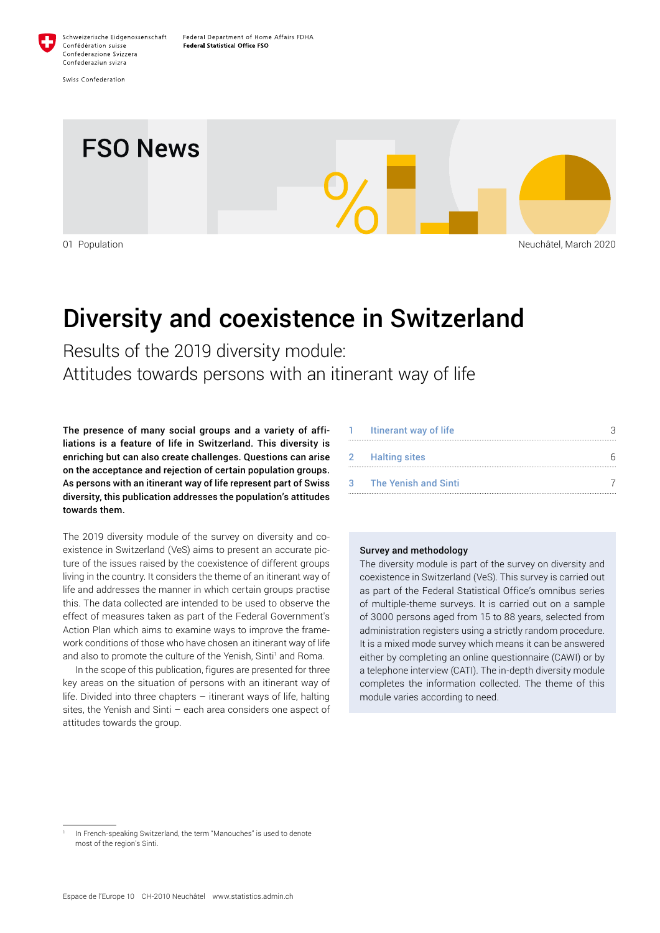

Confederaziun svizra Swiss Confederation

Confédération suisse

Confederazione Svizzera



# Diversity and coexistence in Switzerland

Results of the 2019 diversity module: Attitudes towards persons with an itinerant way of life

The presence of many social groups and a variety of affiliations is a feature of life in Switzerland. This diversity is enriching but can also create challenges. Questions can arise on the acceptance and rejection of certain population groups. As persons with an itinerant way of life represent part of Swiss diversity, this publication addresses the population's attitudes towards them.

The 2019 diversity module of the survey on diversity and coexistence in Switzerland (VeS) aims to present an accurate picture of the issues raised by the coexistence of different groups living in the country. It considers the theme of an itinerant way of life and addresses the manner in which certain groups practise this. The data collected are intended to be used to observe the effect of measures taken as part of the Federal Government's Action Plan which aims to examine ways to improve the framework conditions of those who have chosen an itinerant way of life and also to promote the culture of the Yenish, Sinti<sup>1</sup> and Roma.

In the scope of this publication, figures are presented for three key areas on the situation of persons with an itinerant way of life. Divided into three chapters – itinerant ways of life, halting sites, the Yenish and Sinti – each area considers one aspect of attitudes towards the group.

|       | Itinerant way of life       |  |
|-------|-----------------------------|--|
|       | 2 Halting sites             |  |
| $3 -$ | <b>The Yenish and Sinti</b> |  |

#### Survey and methodology

The diversity module is part of the survey on diversity and coexistence in Switzerland (VeS). This survey is carried out as part of the Federal Statistical Office's omnibus series of multiple-theme surveys. It is carried out on a sample of 3000 persons aged from 15 to 88 years, selected from administration registers using a strictly random procedure. It is a mixed mode survey which means it can be answered either by completing an online questionnaire (CAWI) or by a telephone interview (CATI). The in-depth diversity module completes the information collected. The theme of this module varies according to need.

In French-speaking Switzerland, the term "Manouches" is used to denote most of the region's Sinti.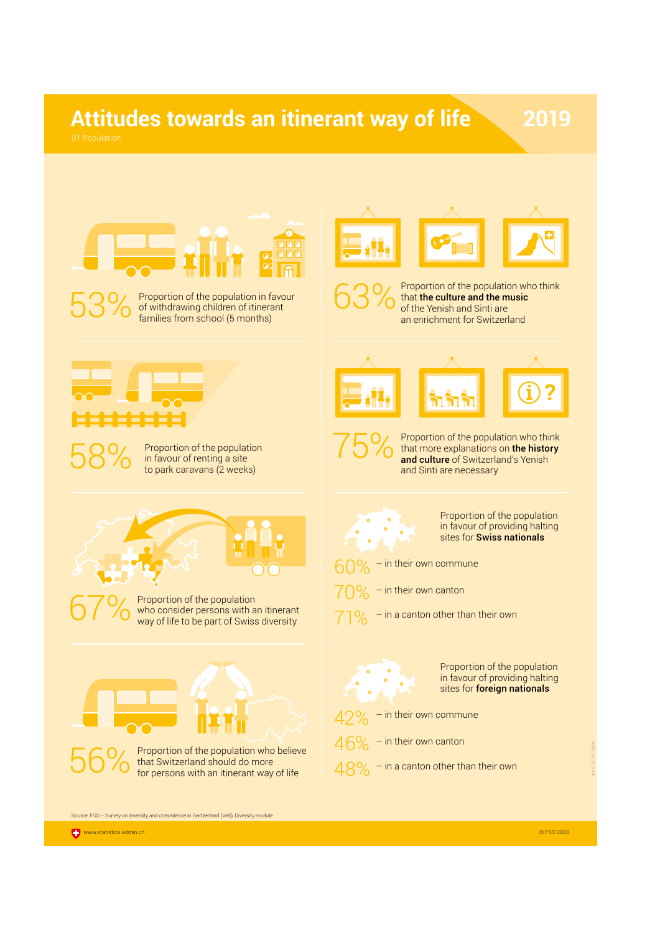## **Attitudes towards an itinerant way of life**

**?**



53% Proportion of the population in favour<br>of withdrawing children of itinerant<br>families from school (5 months) of withdrawing children of itinerant families from school (5 months)



**63%** Proportion of the population who think<br>of the Yenish and Sinti are that the culture and the music of the Yenish and Sinti are an enrichment for Switzerland



**75%** Proportion of the population who think<br>and culture of Switzerland's Yenish that more explanations on **the history** and culture of Switzerland's Yenish and Sinti are necessary



to park caravans (2 weeks)

Proportion of the population who consider persons with an itinerant way of life to be part of Swiss diversity



that Switzerland should do more for persons with an itinerant way of life



Proportion of the population in favour of providing halting sites for **Swiss nationals** 

- $-$  in their own commune
- $70\%$  in their own canton
- $71\%$  in a canton other than their own



Proportion of the population in favour of providing halting sites for **foreign nationals** 

 $-$  in their own commune

- $46%$  in their own canton
- $48\%$  in a canton other than their own

Source: FSO – Survey on diversity and coexistence in Switzerland (VeS), Diversity module

gi-e-01.05.10.01-2020a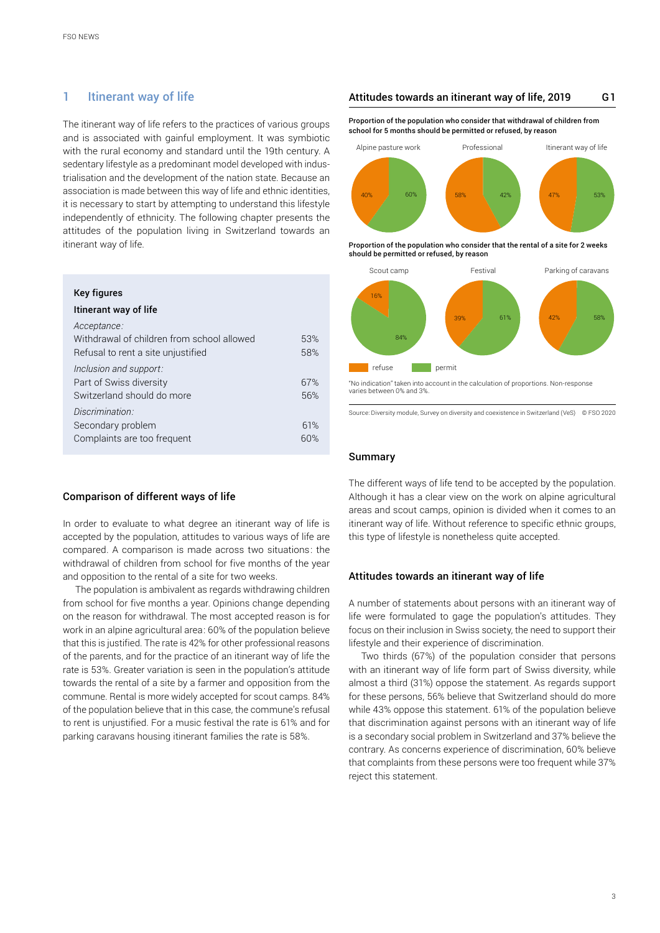## <span id="page-2-0"></span>1 Itinerant way of life

The itinerant way of life refers to the practices of various groups and is associated with gainful employment. It was symbiotic with the rural economy and standard until the 19th century. A sedentary lifestyle as a predominant model developed with industrialisation and the development of the nation state. Because an association is made between this way of life and ethnic identities, it is necessary to start by attempting to understand this lifestyle independently of ethnicity. The following chapter presents the attitudes of the population living in Switzerland towards an itinerant way of life.

| 53%<br>58% |
|------------|
| 67%<br>56% |
| 61%<br>60% |
|            |

#### Comparison of different ways of life

In order to evaluate to what degree an itinerant way of life is accepted by the population, attitudes to various ways of life are compared. A comparison is made across two situations: the withdrawal of children from school for five months of the year and opposition to the rental of a site for two weeks.

The population is ambivalent as regards withdrawing children from school for five months a year. Opinions change depending on the reason for withdrawal. The most accepted reason is for work in an alpine agricultural area: 60% of the population believe that this is justified. The rate is 42% for other professional reasons of the parents, and for the practice of an itinerant way of life the rate is 53%. Greater variation is seen in the population's attitude towards the rental of a site by a farmer and opposition from the commune. Rental is more widely accepted for scout camps. 84% of the population believe that in this case, the commune's refusal to rent is unjustified. For a music festival the rate is 61% and for parking caravans housing itinerant families the rate is 58%.

#### Attitudes towards an itinerant way of life, 2019 G1

Proportion of the population who consider that withdrawal of children from school for 5 months should be permitted or refused, by reason



Proportion of the population who consider that the rental of a site for 2 weeks should be permitted or refused, by reason



<sup>&</sup>quot;No indication" taken into account in the calculation of proportions. Non-response varies between 0% and 3%.

Source: Diversity module, Survey on diversity and coexistence in Switzerland (VeS) © FSO 2020

### Summary

The different ways of life tend to be accepted by the population. Although it has a clear view on the work on alpine agricultural areas and scout camps, opinion is divided when it comes to an itinerant way of life. Without reference to specific ethnic groups, this type of lifestyle is nonetheless quite accepted.

#### Attitudes towards an itinerant way of life

A number of statements about persons with an itinerant way of life were formulated to gage the population's attitudes. They focus on their inclusion in Swiss society, the need to support their lifestyle and their experience of discrimination.

Two thirds (67%) of the population consider that persons with an itinerant way of life form part of Swiss diversity, while almost a third (31%) oppose the statement. As regards support for these persons, 56% believe that Switzerland should do more while 43% oppose this statement. 61% of the population believe that discrimination against persons with an itinerant way of life is a secondary social problem in Switzerland and 37% believe the contrary. As concerns experience of discrimination, 60% believe that complaints from these persons were too frequent while 37% reject this statement.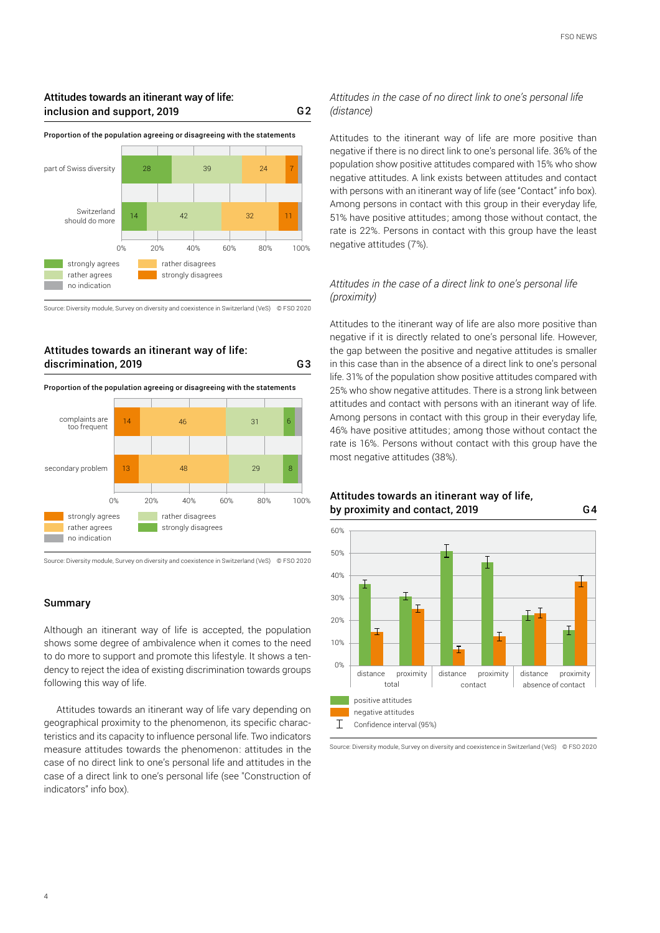## Attitudes towards an itinerant way of life: inclusion and support, 2019



Proportion of the population agreeing or disagreeing with the statements

G2

G3

Source: Diversity module, Survey on diversity and coexistence in Switzerland (VeS) © FSO 2020

## Attitudes towards an itinerant way of life: discrimination, 2019

Proportion of the population agreeing or disagreeing with the statements



Source: Diversity module, Survey on diversity and coexistence in Switzerland (VeS) © FSO 2020

#### Summary

Although an itinerant way of life is accepted, the population shows some degree of ambivalence when it comes to the need to do more to support and promote this lifestyle. It shows a tendency to reject the idea of existing discrimination towards groups following this way of life.

Attitudes towards an itinerant way of life vary depending on geographical proximity to the phenomenon, its specific characteristics and its capacity to influence personal life. Two indicators measure attitudes towards the phenomenon: attitudes in the case of no direct link to one's personal life and attitudes in the case of a direct link to one's personal life (see "Construction of indicators" info box).

### *Attitudes in the case of no direct link to one's personal life (distance)*

Attitudes to the itinerant way of life are more positive than negative if there is no direct link to one's personal life. 36% of the population show positive attitudes compared with 15% who show negative attitudes. A link exists between attitudes and contact with persons with an itinerant way of life (see "Contact" info box). Among persons in contact with this group in their everyday life, 51% have positive attitudes; among those without contact, the rate is 22%. Persons in contact with this group have the least negative attitudes (7%).

## *Attitudes in the case of a direct link to one's personal life (proximity)*

Attitudes to the itinerant way of life are also more positive than negative if it is directly related to one's personal life. However, the gap between the positive and negative attitudes is smaller in this case than in the absence of a direct link to one's personal life. 31% of the population show positive attitudes compared with 25% who show negative attitudes. There is a strong link between attitudes and contact with persons with an itinerant way of life. Among persons in contact with this group in their everyday life, 46% have positive attitudes; among those without contact the rate is 16%. Persons without contact with this group have the most negative attitudes (38%).



Attitudes towards an itinerant way of life, by proximity and contact, 2019

Source: Diversity module, Survey on diversity and coexistence in Switzerland (VeS) © FSO 2020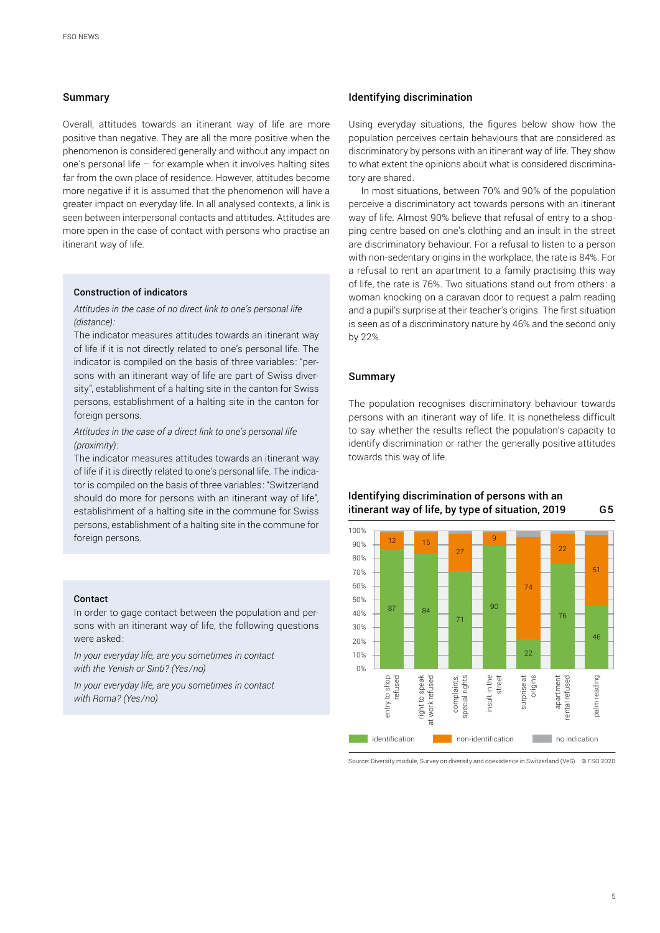#### Summary

Overall, attitudes towards an itinerant way of life are more positive than negative. They are all the more positive when the phenomenon is considered generally and without any impact on one's personal life  $-$  for example when it involves halting sites far from the own place of residence. However, attitudes become more negative if it is assumed that the phenomenon will have a greater impact on everyday life. In all analysed contexts, a link is seen between interpersonal contacts and attitudes. Attitudes are more open in the case of contact with persons who practise an itinerant way of life.

#### Construction of indicators

*Attitudes in the case of no direct link to one's personal life (distance):*

The indicator measures attitudes towards an itinerant way of life if it is not directly related to one's personal life. The indicator is compiled on the basis of three variables: "persons with an itinerant way of life are part of Swiss diversity", establishment of a halting site in the canton for Swiss persons, establishment of a halting site in the canton for foreign persons.

### *Attitudes in the case of a direct link to one's personal life (proximity):*

The indicator measures attitudes towards an itinerant way of life if it is directly related to one's personal life. The indicator is compiled on the basis of three variables: "Switzerland should do more for persons with an itinerant way of life", establishment of a halting site in the commune for Swiss persons, establishment of a halting site in the commune for foreign persons.

#### Contact

In order to gage contact between the population and persons with an itinerant way of life, the following questions were asked:

*In your everyday life, are you sometimes in contact with the Yenish or Sinti? (Yes/no)*

*In your everyday life, are you sometimes in contact with Roma? (Yes/no)*

#### Identifying discrimination

Using everyday situations, the figures below show how the population perceives certain behaviours that are considered as discriminatory by persons with an itinerant way of life. They show to what extent the opinions about what is considered discriminatory are shared.

In most situations, between 70% and 90% of the population perceive a discriminatory act towards persons with an itinerant way of life. Almost 90% believe that refusal of entry to a shopping centre based on one's clothing and an insult in the street are discriminatory behaviour. For a refusal to listen to a person with non-sedentary origins in the workplace, the rate is 84%. For a refusal to rent an apartment to a family practising this way of life, the rate is 76%. Two situations stand out from others: a woman knocking on a caravan door to request a palm reading and a pupil's surprise at their teacher's origins. The first situation is seen as of a discriminatory nature by 46% and the second only by 22%.

#### Summary

The population recognises discriminatory behaviour towards persons with an itinerant way of life. It is nonetheless difficult to say whether the results reflect the population's capacity to identify discrimination or rather the generally positive attitudes towards this way of life.





Source: Diversity module, Survey on diversity and coexistence in Switzerland (VeS) © FSO 2020

#### 5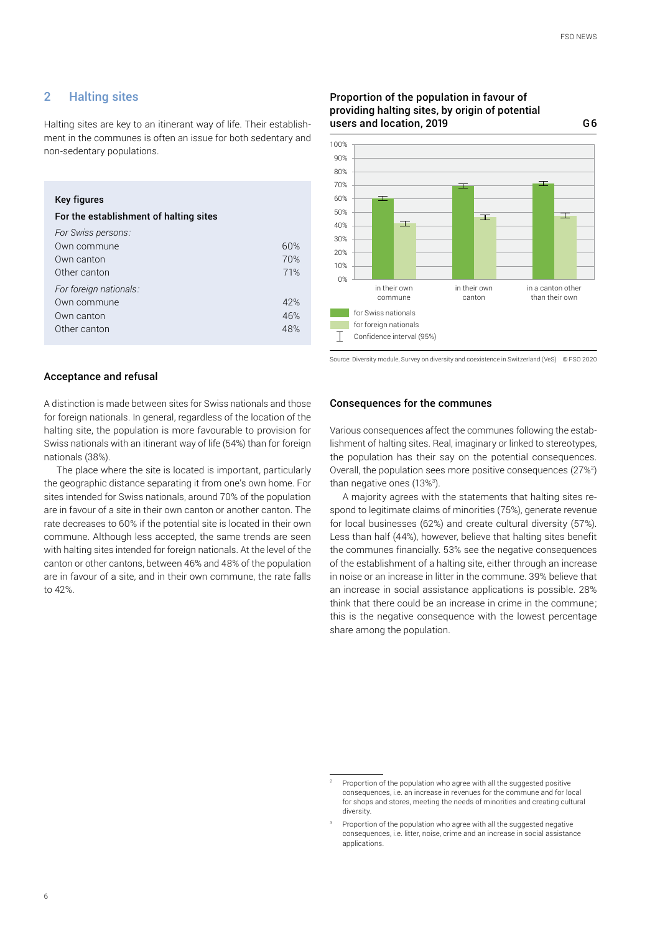G6

## <span id="page-5-0"></span>2 Halting sites

Halting sites are key to an itinerant way of life. Their establishment in the communes is often an issue for both sedentary and non-sedentary populations.

## Key figures

| For the establishment of halting sites |     |  |
|----------------------------------------|-----|--|
| For Swiss persons:                     |     |  |
| Own commune                            | 60% |  |
| Own canton                             | 70% |  |
| Other canton                           | 71% |  |
| For foreign nationals:                 |     |  |
| Own commune                            | 42% |  |
| Own canton                             | 46% |  |
| Other canton                           | 48% |  |
|                                        |     |  |

#### Proportion of the population in favour of providing halting sites, by origin of potential users and location, 2019



Source: Diversity module, Survey on diversity and coexistence in Switzerland (VeS) © FSO 2020

#### Acceptance and refusal

A distinction is made between sites for Swiss nationals and those for foreign nationals. In general, regardless of the location of the halting site, the population is more favourable to provision for Swiss nationals with an itinerant way of life (54%) than for foreign nationals (38%).

The place where the site is located is important, particularly the geographic distance separating it from one's own home. For sites intended for Swiss nationals, around 70% of the population are in favour of a site in their own canton or another canton. The rate decreases to 60% if the potential site is located in their own commune. Although less accepted, the same trends are seen with halting sites intended for foreign nationals. At the level of the canton or other cantons, between 46% and 48% of the population are in favour of a site, and in their own commune, the rate falls to 42%.

#### Consequences for the communes

Various consequences affect the communes following the establishment of halting sites. Real, imaginary or linked to stereotypes, the population has their say on the potential consequences. Overall, the population sees more positive consequences  $(27\%)$ than negative ones (13%ª).

A majority agrees with the statements that halting sites respond to legitimate claims of minorities (75%), generate revenue for local businesses (62%) and create cultural diversity (57%). Less than half (44%), however, believe that halting sites benefit the communes financially. 53% see the negative consequences of the establishment of a halting site, either through an increase in noise or an increase in litter in the commune. 39% believe that an increase in social assistance applications is possible. 28% think that there could be an increase in crime in the commune; this is the negative consequence with the lowest percentage share among the population.

<sup>2</sup> Proportion of the population who agree with all the suggested positive consequences, i.e. an increase in revenues for the commune and for local for shops and stores, meeting the needs of minorities and creating cultural diversity.

Proportion of the population who agree with all the suggested negative consequences, i.e. litter, noise, crime and an increase in social assistance applications.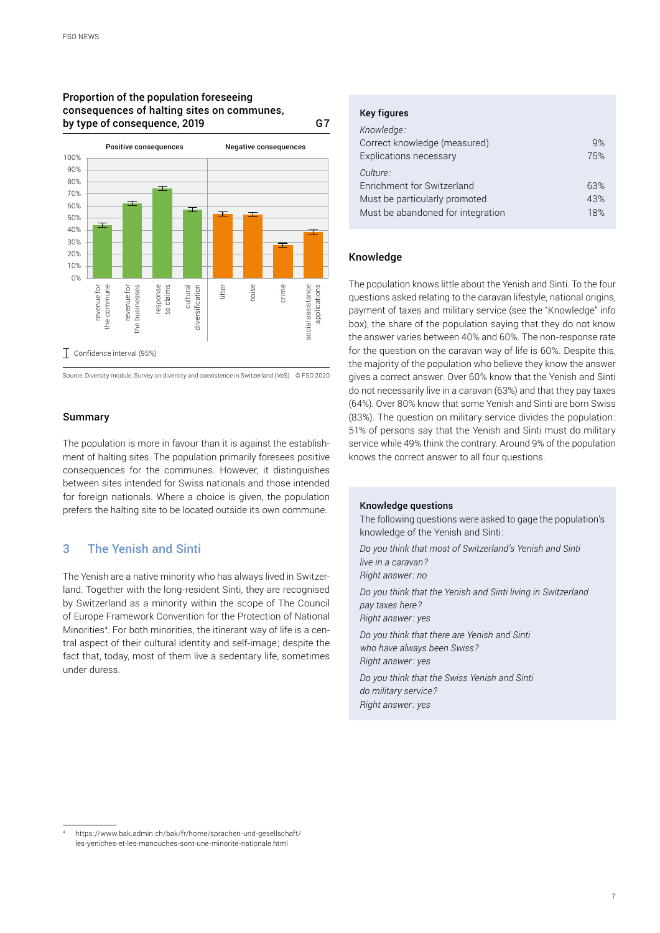### <span id="page-6-0"></span>Proportion of the population foreseeing consequences of halting sites on communes, by type of consequence, 2019 G7



Source: Diversity module, Survey on diversity and coexistence in Switzerland (VeS) © FSO 2020

### Summary

The population is more in favour than it is against the establishment of halting sites. The population primarily foresees positive consequences for the communes. However, it distinguishes between sites intended for Swiss nationals and those intended for foreign nationals. Where a choice is given, the population prefers the halting site to be located outside its own commune.

## 3 The Yenish and Sinti

The Yenish are a native minority who has always lived in Switzerland. Together with the long-resident Sinti, they are recognised by Switzerland as a minority within the scope of The Council of Europe Framework Convention for the Protection of National Minorities<sup>4</sup>. For both minorities, the itinerant way of life is a central aspect of their cultural identity and self-image; despite the fact that, today, most of them live a sedentary life, sometimes under duress.

#### Key figures

| 9%  |
|-----|
| 75% |
|     |
| 63% |
| 43% |
| 18% |
|     |

#### Knowledge

The population knows little about the Yenish and Sinti. To the four questions asked relating to the caravan lifestyle, national origins, payment of taxes and military service (see the "Knowledge" info box), the share of the population saying that they do not know the answer varies between 40% and 60%. The non-response rate for the question on the caravan way of life is 60%. Despite this, the majority of the population who believe they know the answer gives a correct answer. Over 60% know that the Yenish and Sinti do not necessarily live in a caravan (63%) and that they pay taxes (64%). Over 80% know that some Yenish and Sinti are born Swiss (83%). The question on military service divides the population: 51% of persons say that the Yenish and Sinti must do military service while 49% think the contrary. Around 9% of the population knows the correct answer to all four questions.

#### Knowledge questions

The following questions were asked to gage the population's knowledge of the Yenish and Sinti:

*Do you think that most of Switzerland's Yenish and Sinti live in a caravan? Right answer: no Do you think that the Yenish and Sinti living in Switzerland pay taxes here? Right answer: yes Do you think that there are Yenish and Sinti who have always been Swiss? Right answer: yes Do you think that the Swiss Yenish and Sinti do military service? Right answer: yes*

<sup>4</sup> [https://www.bak.admin.ch/bak/fr/home/sprachen-und-gesellschaft/](https://www.bak.admin.ch/bak/fr/home/sprachen-und-gesellschaft/les-yeniches-et-les-manouches-sont-une-minorite-nationale.html) [les-yeniches-et-les-manouches-sont-une-minorite-nationale.html](https://www.bak.admin.ch/bak/fr/home/sprachen-und-gesellschaft/les-yeniches-et-les-manouches-sont-une-minorite-nationale.html)